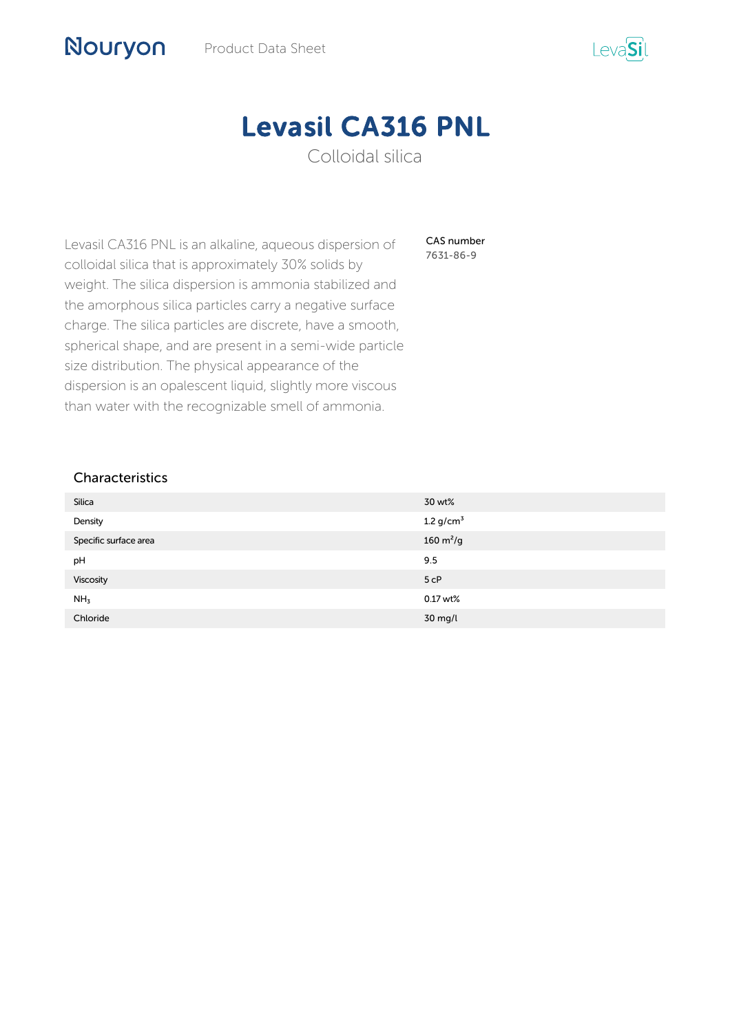

# Levasil CA316 PNL

Colloidal silica

CAS number 7631-86-9

Levasil CA316 PNL is an alkaline, aqueous dispersion of colloidal silica that is approximately 30% solids by weight. The silica dispersion is ammonia stabilized and the amorphous silica particles carry a negative surface charge. The silica particles are discrete, have a smooth, spherical shape, and are present in a semi-wide particle size distribution. The physical appearance of the dispersion is an opalescent liquid, slightly more viscous than water with the recognizable smell of ammonia.

## Characteristics

Nouryon

| Silica                | 30 wt%                       |
|-----------------------|------------------------------|
| Density               | 1.2 $g/cm^3$                 |
| Specific surface area | $160 \, \text{m}^2/\text{g}$ |
| pH                    | 9.5                          |
| Viscosity             | 5 <sub>cP</sub>              |
| NH <sub>3</sub>       | $0.17$ wt%                   |
| Chloride              | 30 mg/l                      |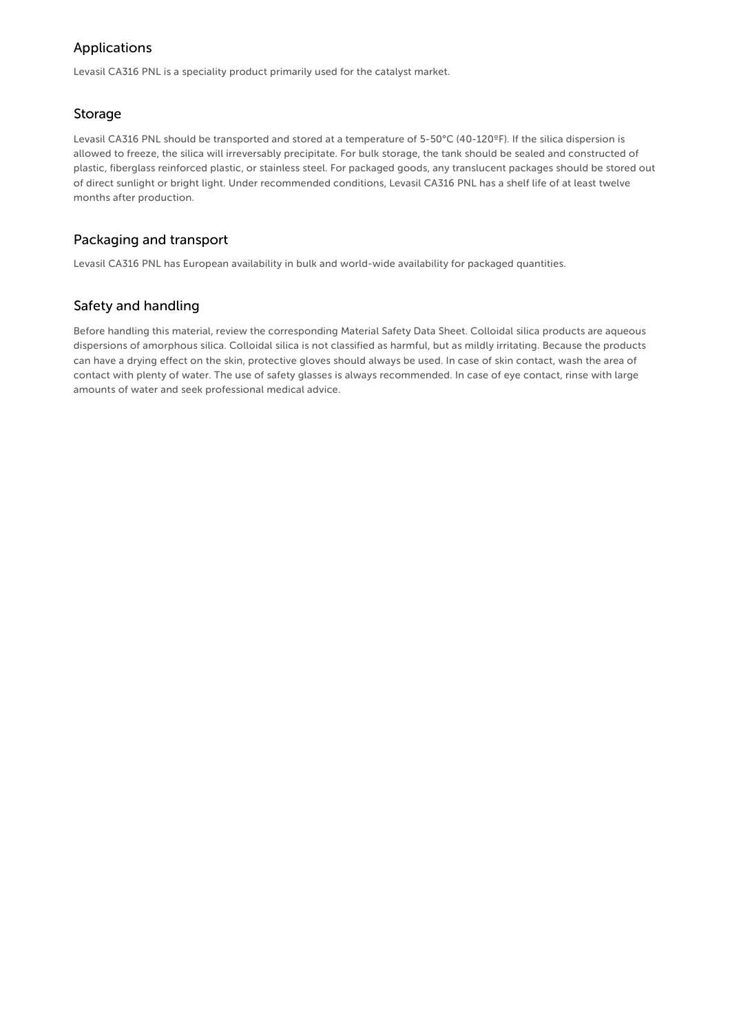## Applications

Levasil CA316 PNL is a speciality product primarily used for the catalyst market.

### Storage

Levasil CA316 PNL should be transported and stored at a temperature of 5-50°C (40-120ºF). If the silica dispersion is allowed to freeze, the silica will irreversably precipitate. For bulk storage, the tank should be sealed and constructed of plastic, fiberglass reinforced plastic, or stainless steel. For packaged goods, any translucent packages should be stored out of direct sunlight or bright light. Under recommended conditions, Levasil CA316 PNL has a shelf life of at least twelve months after production.

## Packaging and transport

Levasil CA316 PNL has European availability in bulk and world-wide availability for packaged quantities.

## Safety and handling

Before handling this material, review the corresponding Material Safety Data Sheet. Colloidal silica products are aqueous dispersions of amorphous silica. Colloidal silica is not classified as harmful, but as mildly irritating. Because the products can have a drying effect on the skin, protective gloves should always be used. In case of skin contact, wash the area of contact with plenty of water. The use of safety glasses is always recommended. In case of eye contact, rinse with large amounts of water and seek professional medical advice.